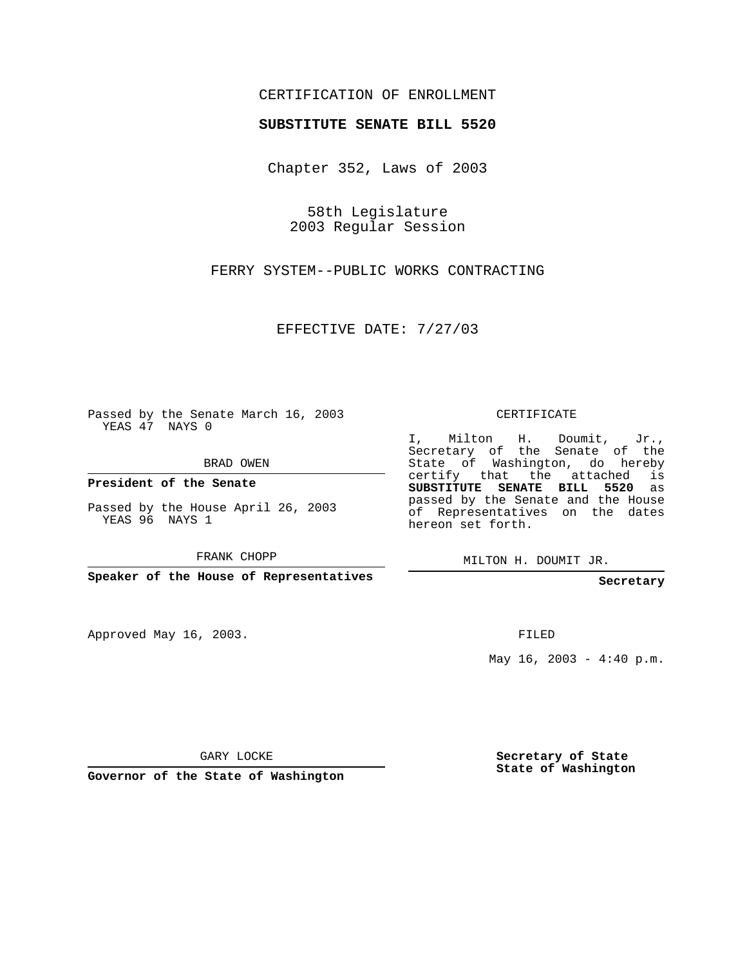## CERTIFICATION OF ENROLLMENT

## **SUBSTITUTE SENATE BILL 5520**

Chapter 352, Laws of 2003

58th Legislature 2003 Regular Session

FERRY SYSTEM--PUBLIC WORKS CONTRACTING

EFFECTIVE DATE: 7/27/03

Passed by the Senate March 16, 2003 YEAS 47 NAYS 0

BRAD OWEN

**President of the Senate**

Passed by the House April 26, 2003 YEAS 96 NAYS 1

FRANK CHOPP

**Speaker of the House of Representatives**

Approved May 16, 2003.

CERTIFICATE

I, Milton H. Doumit, Jr., Secretary of the Senate of the State of Washington, do hereby certify that the attached is **SUBSTITUTE SENATE BILL 5520** as passed by the Senate and the House of Representatives on the dates hereon set forth.

MILTON H. DOUMIT JR.

**Secretary**

FILED

May  $16$ ,  $2003 - 4:40$  p.m.

GARY LOCKE

**Governor of the State of Washington**

**Secretary of State State of Washington**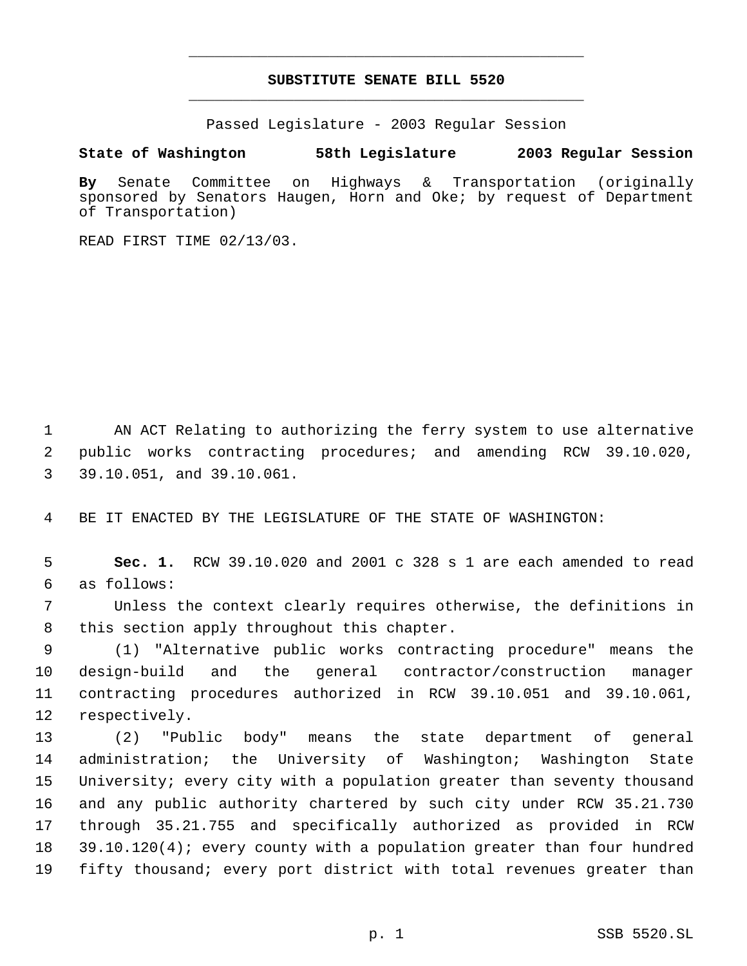## **SUBSTITUTE SENATE BILL 5520** \_\_\_\_\_\_\_\_\_\_\_\_\_\_\_\_\_\_\_\_\_\_\_\_\_\_\_\_\_\_\_\_\_\_\_\_\_\_\_\_\_\_\_\_\_

\_\_\_\_\_\_\_\_\_\_\_\_\_\_\_\_\_\_\_\_\_\_\_\_\_\_\_\_\_\_\_\_\_\_\_\_\_\_\_\_\_\_\_\_\_

Passed Legislature - 2003 Regular Session

## **State of Washington 58th Legislature 2003 Regular Session**

**By** Senate Committee on Highways & Transportation (originally sponsored by Senators Haugen, Horn and Oke; by request of Department of Transportation)

READ FIRST TIME 02/13/03.

 AN ACT Relating to authorizing the ferry system to use alternative public works contracting procedures; and amending RCW 39.10.020, 39.10.051, and 39.10.061.

BE IT ENACTED BY THE LEGISLATURE OF THE STATE OF WASHINGTON:

 **Sec. 1.** RCW 39.10.020 and 2001 c 328 s 1 are each amended to read as follows:

 Unless the context clearly requires otherwise, the definitions in this section apply throughout this chapter.

 (1) "Alternative public works contracting procedure" means the design-build and the general contractor/construction manager contracting procedures authorized in RCW 39.10.051 and 39.10.061, respectively.

 (2) "Public body" means the state department of general administration; the University of Washington; Washington State University; every city with a population greater than seventy thousand and any public authority chartered by such city under RCW 35.21.730 through 35.21.755 and specifically authorized as provided in RCW 39.10.120(4); every county with a population greater than four hundred fifty thousand; every port district with total revenues greater than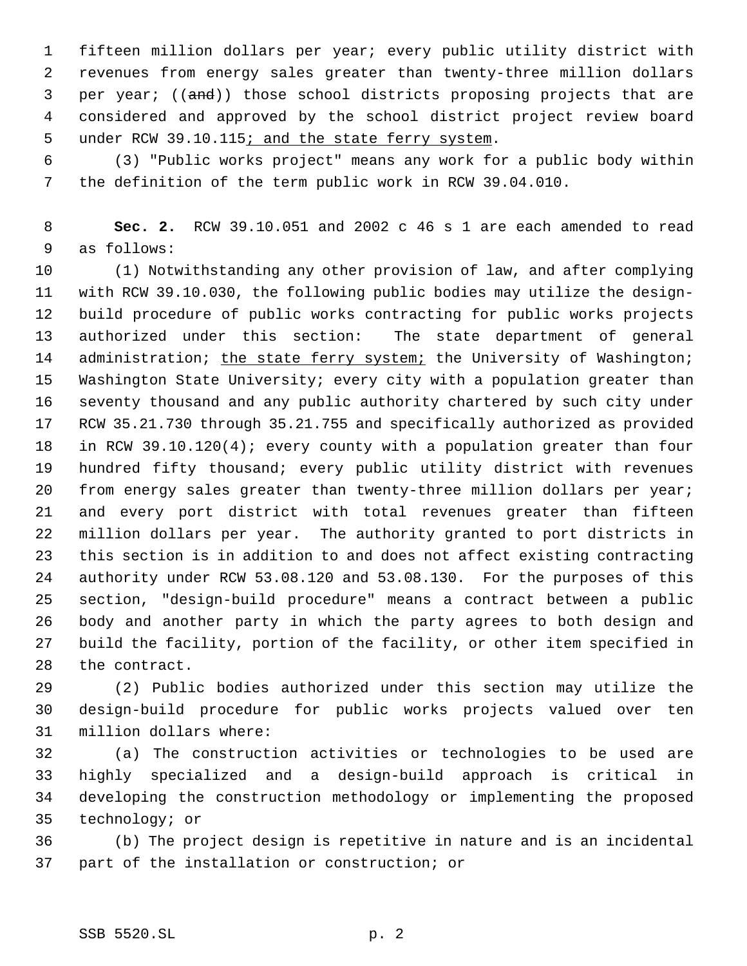fifteen million dollars per year; every public utility district with revenues from energy sales greater than twenty-three million dollars 3 per year; ((and)) those school districts proposing projects that are considered and approved by the school district project review board 5 under RCW 39.10.115; and the state ferry system.

 (3) "Public works project" means any work for a public body within the definition of the term public work in RCW 39.04.010.

 **Sec. 2.** RCW 39.10.051 and 2002 c 46 s 1 are each amended to read as follows:

 (1) Notwithstanding any other provision of law, and after complying with RCW 39.10.030, the following public bodies may utilize the design- build procedure of public works contracting for public works projects authorized under this section: The state department of general 14 administration; the state ferry system; the University of Washington; Washington State University; every city with a population greater than seventy thousand and any public authority chartered by such city under RCW 35.21.730 through 35.21.755 and specifically authorized as provided in RCW 39.10.120(4); every county with a population greater than four hundred fifty thousand; every public utility district with revenues from energy sales greater than twenty-three million dollars per year; and every port district with total revenues greater than fifteen million dollars per year. The authority granted to port districts in this section is in addition to and does not affect existing contracting authority under RCW 53.08.120 and 53.08.130. For the purposes of this section, "design-build procedure" means a contract between a public body and another party in which the party agrees to both design and build the facility, portion of the facility, or other item specified in the contract.

 (2) Public bodies authorized under this section may utilize the design-build procedure for public works projects valued over ten million dollars where:

 (a) The construction activities or technologies to be used are highly specialized and a design-build approach is critical in developing the construction methodology or implementing the proposed technology; or

 (b) The project design is repetitive in nature and is an incidental part of the installation or construction; or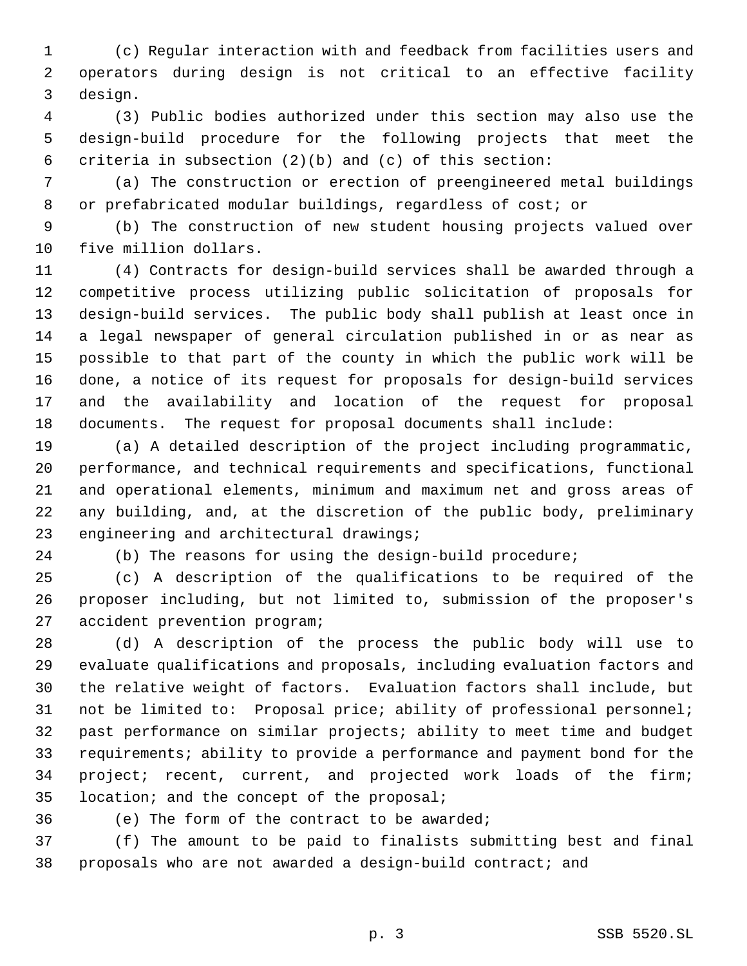(c) Regular interaction with and feedback from facilities users and operators during design is not critical to an effective facility design.

 (3) Public bodies authorized under this section may also use the design-build procedure for the following projects that meet the criteria in subsection (2)(b) and (c) of this section:

 (a) The construction or erection of preengineered metal buildings or prefabricated modular buildings, regardless of cost; or

 (b) The construction of new student housing projects valued over five million dollars.

 (4) Contracts for design-build services shall be awarded through a competitive process utilizing public solicitation of proposals for design-build services. The public body shall publish at least once in a legal newspaper of general circulation published in or as near as possible to that part of the county in which the public work will be done, a notice of its request for proposals for design-build services and the availability and location of the request for proposal documents. The request for proposal documents shall include:

 (a) A detailed description of the project including programmatic, performance, and technical requirements and specifications, functional and operational elements, minimum and maximum net and gross areas of any building, and, at the discretion of the public body, preliminary engineering and architectural drawings;

(b) The reasons for using the design-build procedure;

 (c) A description of the qualifications to be required of the proposer including, but not limited to, submission of the proposer's accident prevention program;

 (d) A description of the process the public body will use to evaluate qualifications and proposals, including evaluation factors and the relative weight of factors. Evaluation factors shall include, but not be limited to: Proposal price; ability of professional personnel; past performance on similar projects; ability to meet time and budget requirements; ability to provide a performance and payment bond for the project; recent, current, and projected work loads of the firm; location; and the concept of the proposal;

(e) The form of the contract to be awarded;

 (f) The amount to be paid to finalists submitting best and final proposals who are not awarded a design-build contract; and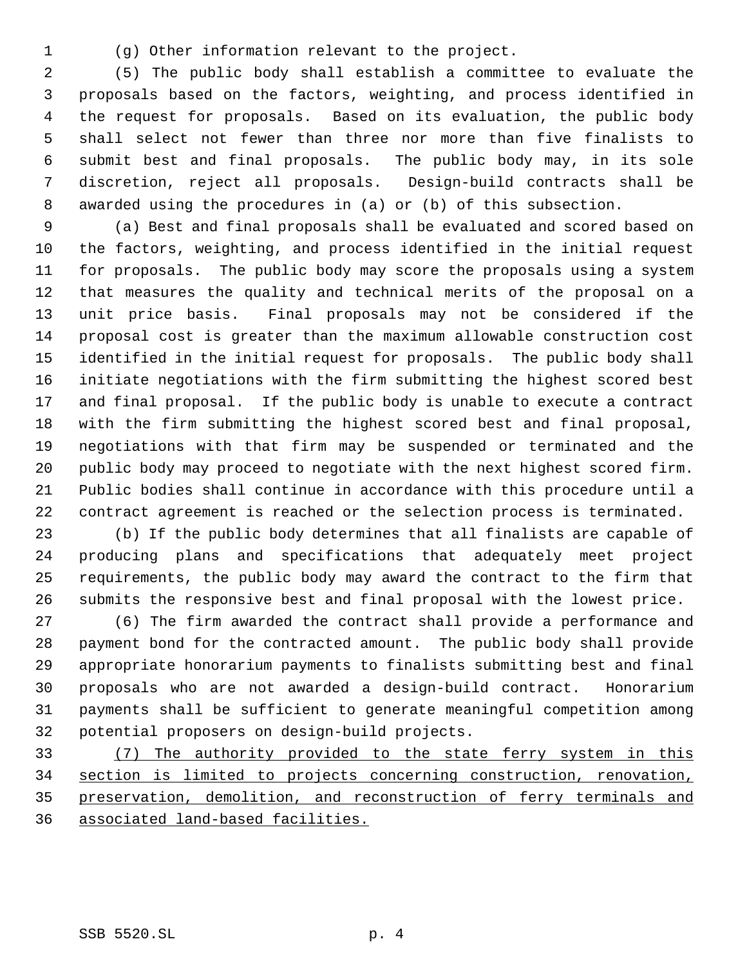(g) Other information relevant to the project.

 (5) The public body shall establish a committee to evaluate the proposals based on the factors, weighting, and process identified in the request for proposals. Based on its evaluation, the public body shall select not fewer than three nor more than five finalists to submit best and final proposals. The public body may, in its sole discretion, reject all proposals. Design-build contracts shall be awarded using the procedures in (a) or (b) of this subsection.

 (a) Best and final proposals shall be evaluated and scored based on the factors, weighting, and process identified in the initial request for proposals. The public body may score the proposals using a system that measures the quality and technical merits of the proposal on a unit price basis. Final proposals may not be considered if the proposal cost is greater than the maximum allowable construction cost identified in the initial request for proposals. The public body shall initiate negotiations with the firm submitting the highest scored best and final proposal. If the public body is unable to execute a contract with the firm submitting the highest scored best and final proposal, negotiations with that firm may be suspended or terminated and the public body may proceed to negotiate with the next highest scored firm. Public bodies shall continue in accordance with this procedure until a contract agreement is reached or the selection process is terminated.

 (b) If the public body determines that all finalists are capable of producing plans and specifications that adequately meet project requirements, the public body may award the contract to the firm that submits the responsive best and final proposal with the lowest price.

 (6) The firm awarded the contract shall provide a performance and payment bond for the contracted amount. The public body shall provide appropriate honorarium payments to finalists submitting best and final proposals who are not awarded a design-build contract. Honorarium payments shall be sufficient to generate meaningful competition among potential proposers on design-build projects.

 (7) The authority provided to the state ferry system in this section is limited to projects concerning construction, renovation, preservation, demolition, and reconstruction of ferry terminals and associated land-based facilities.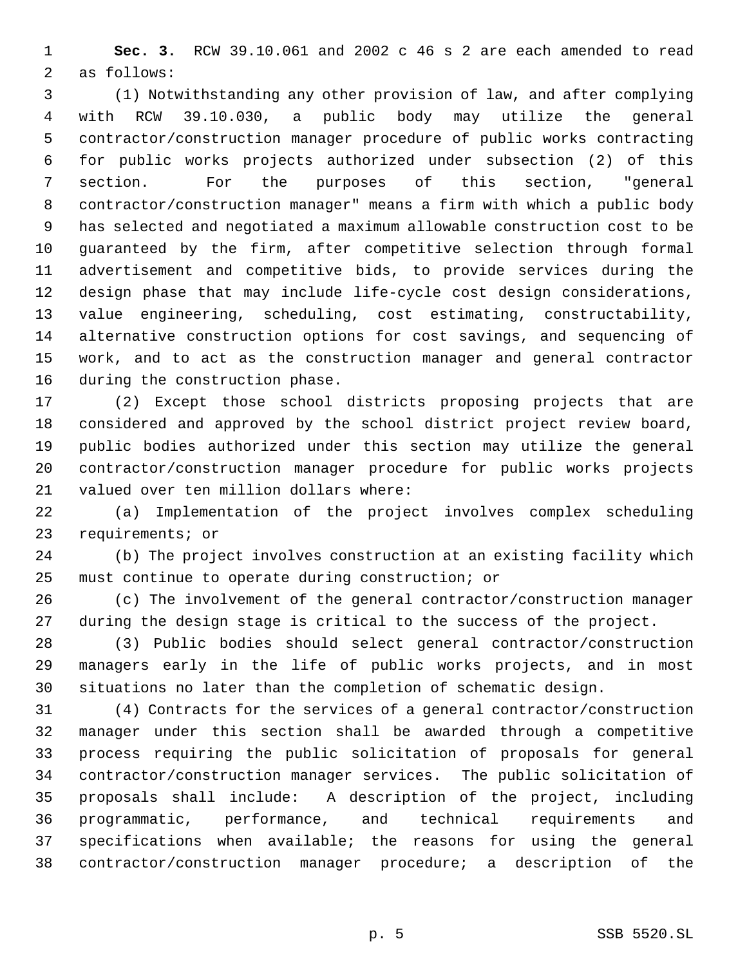**Sec. 3.** RCW 39.10.061 and 2002 c 46 s 2 are each amended to read as follows:

 (1) Notwithstanding any other provision of law, and after complying with RCW 39.10.030, a public body may utilize the general contractor/construction manager procedure of public works contracting for public works projects authorized under subsection (2) of this section. For the purposes of this section, "general contractor/construction manager" means a firm with which a public body has selected and negotiated a maximum allowable construction cost to be guaranteed by the firm, after competitive selection through formal advertisement and competitive bids, to provide services during the design phase that may include life-cycle cost design considerations, value engineering, scheduling, cost estimating, constructability, alternative construction options for cost savings, and sequencing of work, and to act as the construction manager and general contractor during the construction phase.

 (2) Except those school districts proposing projects that are considered and approved by the school district project review board, public bodies authorized under this section may utilize the general contractor/construction manager procedure for public works projects valued over ten million dollars where:

 (a) Implementation of the project involves complex scheduling requirements; or

 (b) The project involves construction at an existing facility which must continue to operate during construction; or

 (c) The involvement of the general contractor/construction manager during the design stage is critical to the success of the project.

 (3) Public bodies should select general contractor/construction managers early in the life of public works projects, and in most situations no later than the completion of schematic design.

 (4) Contracts for the services of a general contractor/construction manager under this section shall be awarded through a competitive process requiring the public solicitation of proposals for general contractor/construction manager services. The public solicitation of proposals shall include: A description of the project, including programmatic, performance, and technical requirements and specifications when available; the reasons for using the general contractor/construction manager procedure; a description of the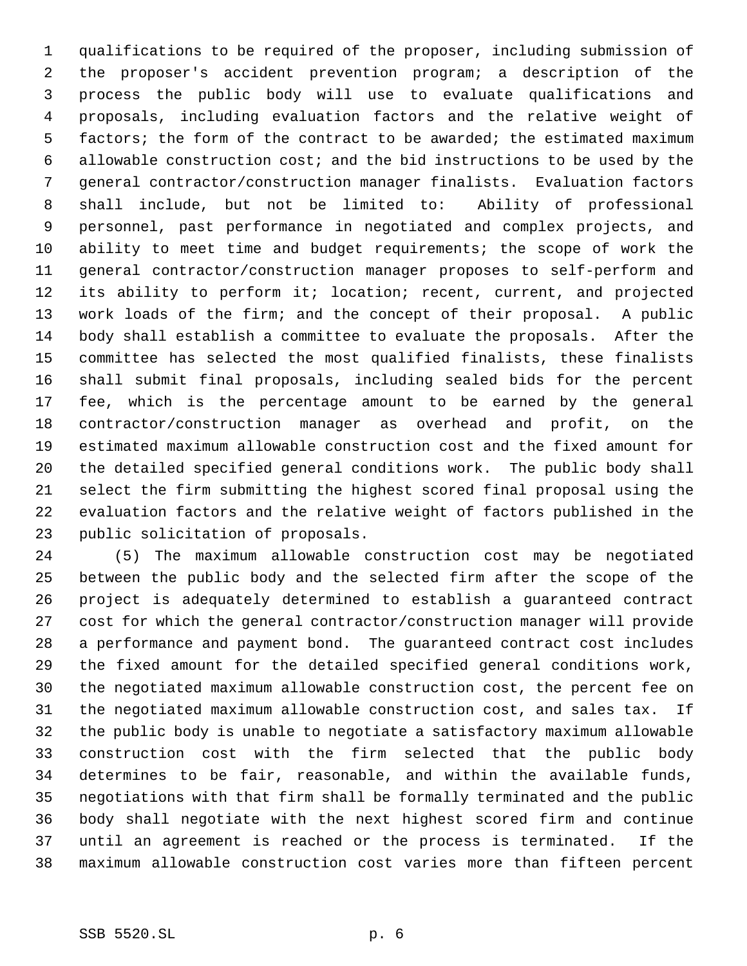qualifications to be required of the proposer, including submission of the proposer's accident prevention program; a description of the process the public body will use to evaluate qualifications and proposals, including evaluation factors and the relative weight of 5 factors; the form of the contract to be awarded; the estimated maximum allowable construction cost; and the bid instructions to be used by the general contractor/construction manager finalists. Evaluation factors shall include, but not be limited to: Ability of professional personnel, past performance in negotiated and complex projects, and ability to meet time and budget requirements; the scope of work the general contractor/construction manager proposes to self-perform and its ability to perform it; location; recent, current, and projected work loads of the firm; and the concept of their proposal. A public body shall establish a committee to evaluate the proposals. After the committee has selected the most qualified finalists, these finalists shall submit final proposals, including sealed bids for the percent fee, which is the percentage amount to be earned by the general contractor/construction manager as overhead and profit, on the estimated maximum allowable construction cost and the fixed amount for the detailed specified general conditions work. The public body shall select the firm submitting the highest scored final proposal using the evaluation factors and the relative weight of factors published in the public solicitation of proposals.

 (5) The maximum allowable construction cost may be negotiated between the public body and the selected firm after the scope of the project is adequately determined to establish a guaranteed contract cost for which the general contractor/construction manager will provide a performance and payment bond. The guaranteed contract cost includes the fixed amount for the detailed specified general conditions work, the negotiated maximum allowable construction cost, the percent fee on the negotiated maximum allowable construction cost, and sales tax. If the public body is unable to negotiate a satisfactory maximum allowable construction cost with the firm selected that the public body determines to be fair, reasonable, and within the available funds, negotiations with that firm shall be formally terminated and the public body shall negotiate with the next highest scored firm and continue until an agreement is reached or the process is terminated. If the maximum allowable construction cost varies more than fifteen percent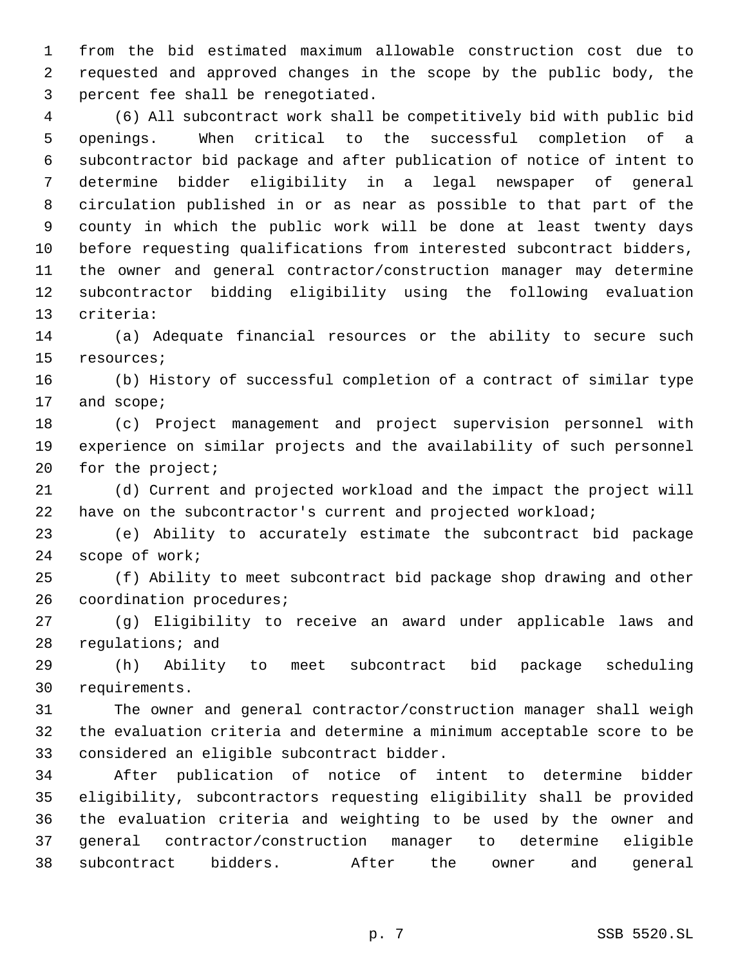from the bid estimated maximum allowable construction cost due to requested and approved changes in the scope by the public body, the percent fee shall be renegotiated.

 (6) All subcontract work shall be competitively bid with public bid openings. When critical to the successful completion of a subcontractor bid package and after publication of notice of intent to determine bidder eligibility in a legal newspaper of general circulation published in or as near as possible to that part of the county in which the public work will be done at least twenty days before requesting qualifications from interested subcontract bidders, the owner and general contractor/construction manager may determine subcontractor bidding eligibility using the following evaluation criteria:

 (a) Adequate financial resources or the ability to secure such resources;

 (b) History of successful completion of a contract of similar type and scope;

 (c) Project management and project supervision personnel with experience on similar projects and the availability of such personnel 20 for the project;

 (d) Current and projected workload and the impact the project will have on the subcontractor's current and projected workload;

 (e) Ability to accurately estimate the subcontract bid package scope of work;

 (f) Ability to meet subcontract bid package shop drawing and other coordination procedures;

 (g) Eligibility to receive an award under applicable laws and regulations; and

 (h) Ability to meet subcontract bid package scheduling requirements.

 The owner and general contractor/construction manager shall weigh the evaluation criteria and determine a minimum acceptable score to be considered an eligible subcontract bidder.

 After publication of notice of intent to determine bidder eligibility, subcontractors requesting eligibility shall be provided the evaluation criteria and weighting to be used by the owner and general contractor/construction manager to determine eligible subcontract bidders. After the owner and general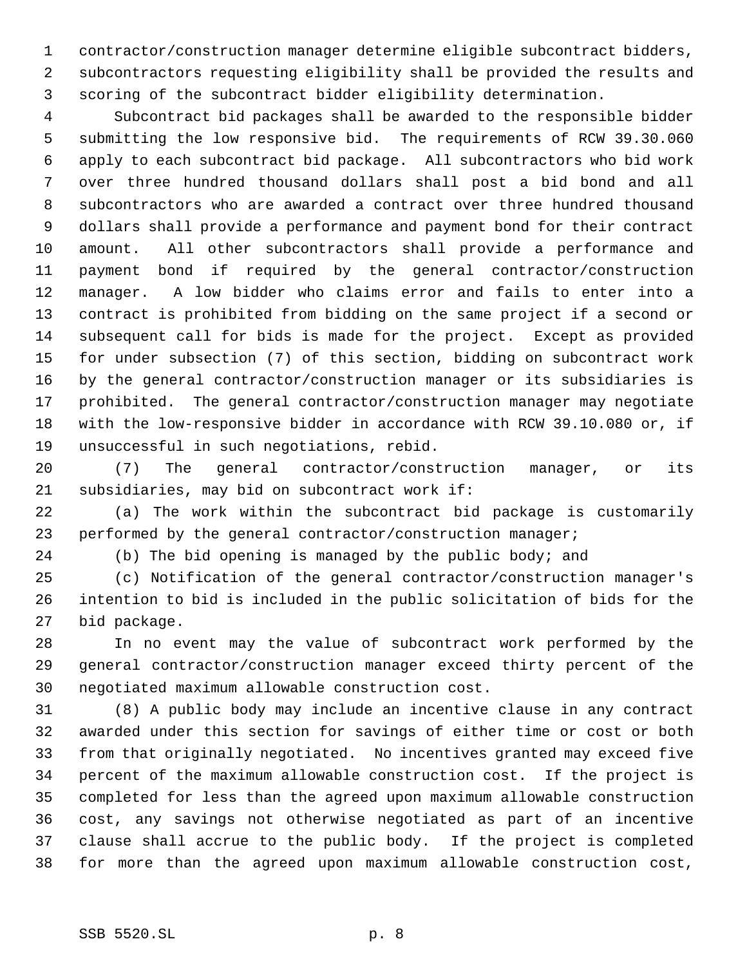contractor/construction manager determine eligible subcontract bidders, subcontractors requesting eligibility shall be provided the results and scoring of the subcontract bidder eligibility determination.

 Subcontract bid packages shall be awarded to the responsible bidder submitting the low responsive bid. The requirements of RCW 39.30.060 apply to each subcontract bid package. All subcontractors who bid work over three hundred thousand dollars shall post a bid bond and all subcontractors who are awarded a contract over three hundred thousand dollars shall provide a performance and payment bond for their contract amount. All other subcontractors shall provide a performance and payment bond if required by the general contractor/construction manager. A low bidder who claims error and fails to enter into a contract is prohibited from bidding on the same project if a second or subsequent call for bids is made for the project. Except as provided for under subsection (7) of this section, bidding on subcontract work by the general contractor/construction manager or its subsidiaries is prohibited. The general contractor/construction manager may negotiate with the low-responsive bidder in accordance with RCW 39.10.080 or, if unsuccessful in such negotiations, rebid.

 (7) The general contractor/construction manager, or its subsidiaries, may bid on subcontract work if:

 (a) The work within the subcontract bid package is customarily performed by the general contractor/construction manager;

(b) The bid opening is managed by the public body; and

 (c) Notification of the general contractor/construction manager's intention to bid is included in the public solicitation of bids for the bid package.

 In no event may the value of subcontract work performed by the general contractor/construction manager exceed thirty percent of the negotiated maximum allowable construction cost.

 (8) A public body may include an incentive clause in any contract awarded under this section for savings of either time or cost or both from that originally negotiated. No incentives granted may exceed five percent of the maximum allowable construction cost. If the project is completed for less than the agreed upon maximum allowable construction cost, any savings not otherwise negotiated as part of an incentive clause shall accrue to the public body. If the project is completed for more than the agreed upon maximum allowable construction cost,